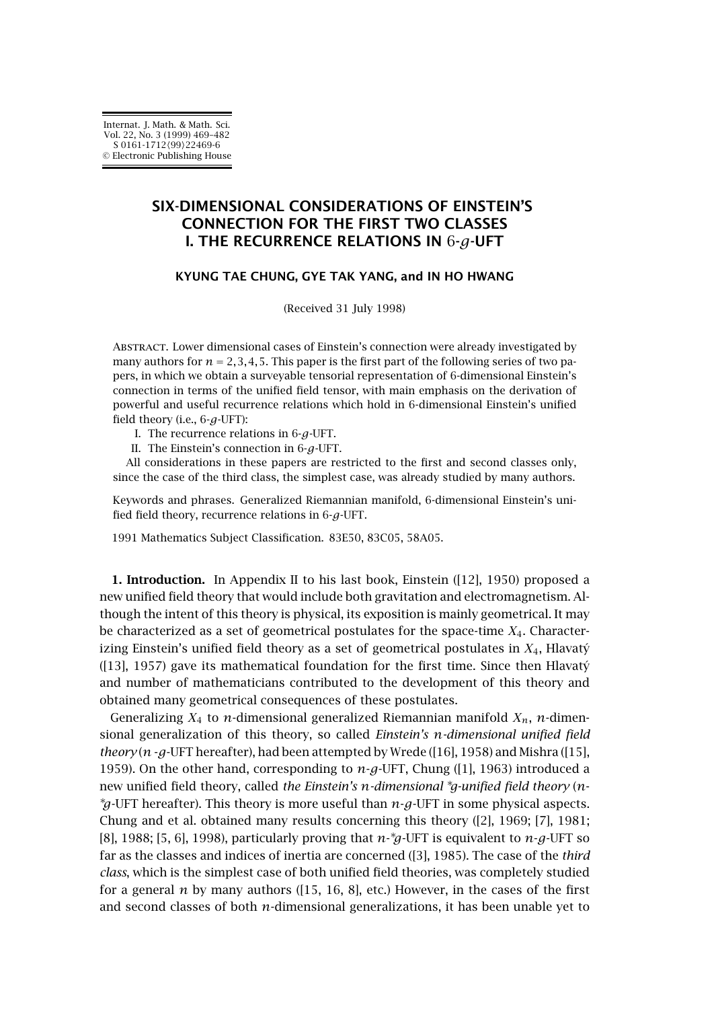## **SIX-DIMENSIONAL CONSIDERATIONS OF EINSTEIN'S CONNECTION FOR THE FIRST TWO CLASSES I. THE RECURRENCE RELATIONS IN** 6**-***g***-UFT**

## **KYUNG TAE CHUNG, GYE TAK YANG, and IN HO HWANG**

(Received 31 July 1998)

Abstract. Lower dimensional cases of Einstein's connection were already investigated by many authors for  $n = 2, 3, 4, 5$ . This paper is the first part of the following series of two papers, in which we obtain a surveyable tensorial representation of 6-dimensional Einstein's connection in terms of the unified field tensor, with main emphasis on the derivation of powerful and useful recurrence relations which hold in 6-dimensional Einstein's unified field theory (i.e., 6-*g*-UFT):

- I. The recurrence relations in 6-*g*-UFT.
- II. The Einstein's connection in 6-*g*-UFT.

All considerations in these papers are restricted to the first and second classes only, since the case of the third class, the simplest case, was already studied by many authors.

Keywords and phrases. Generalized Riemannian manifold, 6-dimensional Einstein's unified field theory, recurrence relations in 6-*g*-UFT.

1991 Mathematics Subject Classification. 83E50, 83C05, 58A05.

**1. Introduction.** In Appendix II to his last book, Einstein ([\[12\]](#page-13-0), 1950) proposed a new unified field theory that would include both gravitation and electromagnetism. Although the intent of this theory is physical, its exposition is mainly geometrical. It may be characterized as a set of geometrical postulates for the space-time *X*4. Characterizing Einstein's unified field theory as a set of geometrical postulates in *X*4, Hlavatý ([\[13\]](#page-13-0), 1957) gave its mathematical foundation for the first time. Since then Hlavatý and number of mathematicians contributed to the development of this theory and obtained many geometrical consequences of these postulates.

Generalizing  $X_4$  to *n*-dimensional generalized Riemannian manifold  $X_n$ , *n*-dimensional generalization of this theory, so called *Einstein's n-dimensional unified field theory* ( $n - g$ -UFT hereafter), had been attempted by Wrede ([\[16\]](#page-13-0), 1958) and Mishra ([\[15\]](#page-13-0), 1959). On the other hand, corresponding to *n*-*g*-UFT, Chung ([\[1\]](#page-12-0), 1963) introduced a new unified field theory, called *the Einstein's n-dimensional* <sup>∗</sup>*g-unified field theory* (*n*- <sup>∗</sup>*g*-UFT hereafter). This theory is more useful than *n*-*g*-UFT in some physical aspects. Chung and et al. obtained many results concerning this theory ([\[2\]](#page-13-0), 1969; [\[7\]](#page-13-0), 1981; [\[8\]](#page-13-0), 1988; [\[5, 6\]](#page-13-0), 1998), particularly proving that *n*- <sup>∗</sup>*g*-UFT is equivalent to *n*-*g*-UFT so far as the classes and indices of inertia are concerned ([\[3\]](#page-13-0), 1985). The case of the *third class*, which is the simplest case of both unified field theories, was completely studied for a general  $n$  by many authors ( $[15, 16, 8]$ , etc.) However, in the cases of the first and second classes of both *n*-dimensional generalizations, it has been unable yet to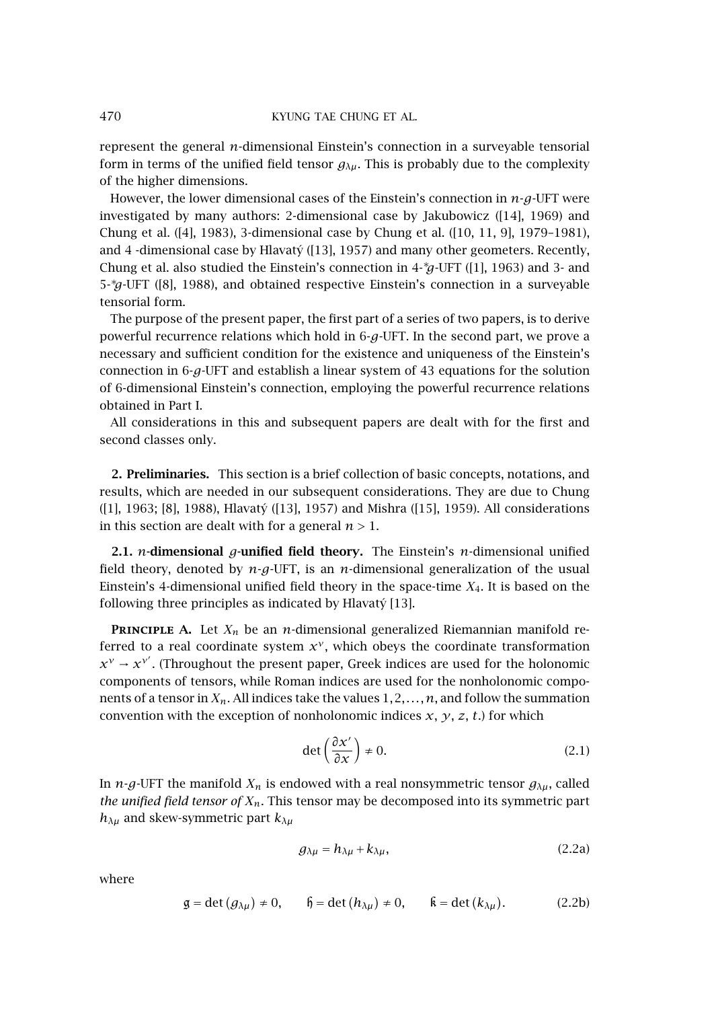represent the general *n*-dimensional Einstein's connection in a surveyable tensorial form in terms of the unified field tensor  $g_{\lambda\mu}$ . This is probably due to the complexity of the higher dimensions.

However, the lower dimensional cases of the Einstein's connection in *n*-*g*-UFT were investigated by many authors: 2-dimensional case by Jakubowicz ([\[14\]](#page-13-0), 1969) and Chung et al. ([\[4\]](#page-13-0), 1983), 3-dimensional case by Chung et al. ([\[10, 11, 9\]](#page-13-0), 1979–1981), and 4 -dimensional case by Hlavatý ([\[13\]](#page-13-0), 1957) and many other geometers. Recently, Chung et al. also studied the Einstein's connection in 4-∗*g*-UFT ([\[1\]](#page-12-0), 1963) and 3- and 5-∗*g*-UFT ([\[8\]](#page-13-0), 1988), and obtained respective Einstein's connection in a surveyable tensorial form.

The purpose of the present paper, the first part of a series of two papers, is to derive powerful recurrence relations which hold in 6-*g*-UFT. In the second part, we prove a necessary and sufficient condition for the existence and uniqueness of the Einstein's connection in 6-*g*-UFT and establish a linear system of 43 equations for the solution of 6-dimensional Einstein's connection, employing the powerful recurrence relations obtained in Part I.

All considerations in this and subsequent papers are dealt with for the first and second classes only.

**2. Preliminaries.** This section is a brief collection of basic concepts, notations, and results, which are needed in our subsequent considerations. They are due to Chung ([\[1\]](#page-12-0), 1963; [\[8\]](#page-13-0), 1988), Hlavatý ([\[13\]](#page-13-0), 1957) and Mishra ([\[15\]](#page-13-0), 1959). All considerations in this section are dealt with for a general  $n > 1$ .

**2.1.** *n***-dimensional** *g***-unified field theory.** The Einstein's *n*-dimensional unified field theory, denoted by *n*-*g*-UFT, is an *n*-dimensional generalization of the usual Einstein's 4-dimensional unified field theory in the space-time *X*4. It is based on the following three principles as indicated by Hlavatý [\[13\]](#page-13-0).

**PRINCIPLE A.** Let  $X_n$  be an *n*-dimensional generalized Riemannian manifold referred to a real coordinate system  $x^{\gamma}$ , which obeys the coordinate transformation  $x^{\gamma} \rightarrow x^{\gamma'}$ . (Throughout the present paper, Greek indices are used for the holonomic components of tensors, while Roman indices are used for the nonholonomic components of a tensor in  $X_n$ . All indices take the values  $1, 2, \ldots, n$ , and follow the summation convention with the exception of nonholonomic indices  $x$ ,  $y$ ,  $z$ ,  $t$ .) for which

$$
\det\left(\frac{\partial x'}{\partial x}\right) \neq 0. \tag{2.1}
$$

In *n*-*g*-UFT the manifold  $X_n$  is endowed with a real nonsymmetric tensor  $g_{\lambda\mu}$ , called *the unified field tensor of Xn*. This tensor may be decomposed into its symmetric part  $h_{\lambda\mu}$  and skew-symmetric part  $k_{\lambda\mu}$ 

$$
g_{\lambda\mu} = h_{\lambda\mu} + k_{\lambda\mu}, \qquad (2.2a)
$$

where

$$
\mathfrak{g} = \det (g_{\lambda\mu}) \neq 0, \qquad \mathfrak{h} = \det (h_{\lambda\mu}) \neq 0, \qquad \mathfrak{k} = \det (k_{\lambda\mu}). \tag{2.2b}
$$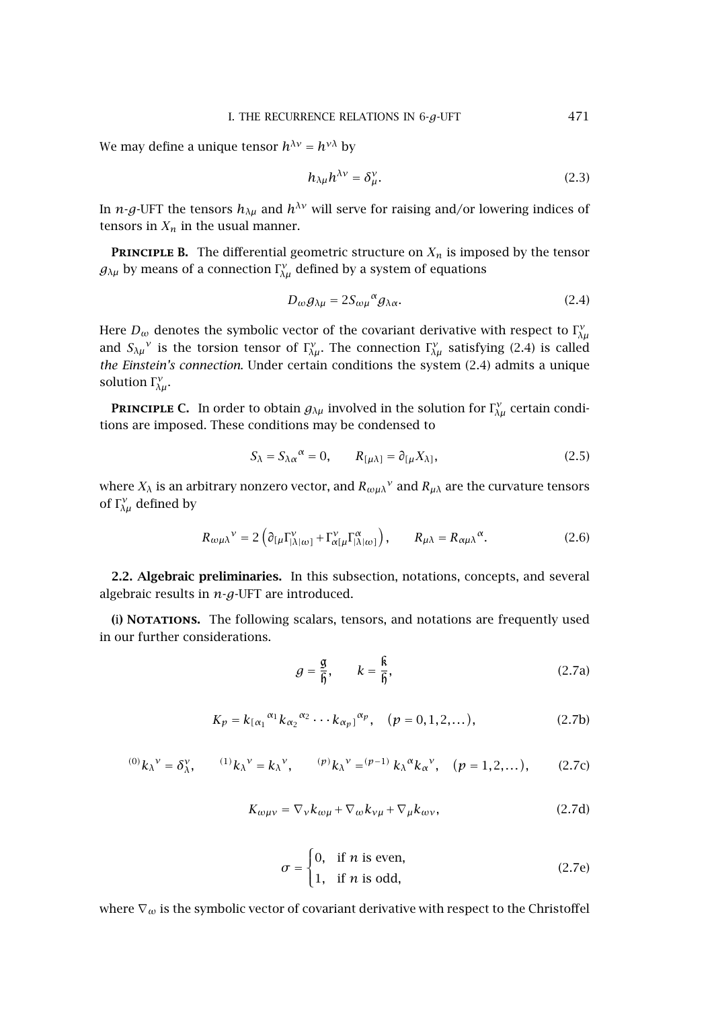<span id="page-2-0"></span>We may define a unique tensor  $h^{\lambda \nu} = h^{\nu \lambda}$  by

$$
h_{\lambda\mu}h^{\lambda\nu} = \delta_{\mu}^{\nu}.
$$
 (2.3)

In *n*-*g*-UFT the tensors  $h_{\lambda\mu}$  and  $h^{\lambda\nu}$  will serve for raising and/or lowering indices of tensors in  $X_n$  in the usual manner.

**PRINCIPLE B.** The differential geometric structure on  $X_n$  is imposed by the tensor  $g_{\lambda\mu}$  by means of a connection  $\Gamma_{\lambda\mu}^{\nu}$  defined by a system of equations

$$
D_{\omega}g_{\lambda\mu} = 2S_{\omega\mu}{}^{\alpha}g_{\lambda\alpha}.
$$

Here  $D_\omega$  denotes the symbolic vector of the covariant derivative with respect to  $\Gamma^\nu_{\lambda\mu}$ and  $S_{\lambda\mu}$ <sup>*ν*</sup> is the torsion tensor of  $\Gamma^{\nu}_{\lambda\mu}$ . The connection  $\Gamma^{\nu}_{\lambda\mu}$  satisfying (2.4) is called *the Einstein's connection*. Under certain conditions the system (2.4) admits a unique solution  $\Gamma_{\lambda\mu}^{\nu}$ .

**PRINCIPLE C.** In order to obtain  $g_{\lambda\mu}$  involved in the solution for  $\Gamma_{\lambda\mu}^{\nu}$  certain conditions are imposed. These conditions may be condensed to

$$
S_{\lambda} = S_{\lambda \alpha}{}^{\alpha} = 0, \qquad R_{[\mu \lambda]} = \partial_{[\mu} X_{\lambda]}, \qquad (2.5)
$$

where  $X_\lambda$  is an arbitrary nonzero vector, and  $R_{\omega\mu\lambda}$ <sup>*ν*</sup> and  $R_{\mu\lambda}$  are the curvature tensors of  $\Gamma_{\!\lambda\mu}^{\nu}$  defined by

$$
R_{\omega\mu\lambda}{}^{\nu} = 2 \left( \partial_{[\mu} \Gamma_{|\lambda|\omega]}^{\nu} + \Gamma_{\alpha[\mu}^{\nu} \Gamma_{|\lambda|\omega]}^{\alpha} \right), \qquad R_{\mu\lambda} = R_{\alpha\mu\lambda}{}^{\alpha}.
$$
 (2.6)

**2.2. Algebraic preliminaries.** In this subsection, notations, concepts, and several algebraic results in *n*-*g*-UFT are introduced.

**(**i**) Notations.** The following scalars, tensors, and notations are frequently used in our further considerations.

$$
g = \frac{g}{6}, \qquad k = \frac{6}{6}, \tag{2.7a}
$$

$$
K_p = k_{\lbrack \alpha_1}^{\alpha_1} k_{\alpha_2}^{\alpha_2} \cdots k_{\alpha_p}^{\alpha_p}, \quad (p = 0, 1, 2, \dots), \tag{2.7b}
$$

$$
{}^{(0)}k_{\lambda}{}^{\nu} = \delta_{\lambda}^{\nu}, \qquad {}^{(1)}k_{\lambda}{}^{\nu} = k_{\lambda}{}^{\nu}, \qquad {}^{(p)}k_{\lambda}{}^{\nu} = {}^{(p-1)}k_{\lambda}{}^{\alpha}k_{\alpha}{}^{\nu}, \quad (p = 1, 2, \dots), \qquad (2.7c)
$$

$$
K_{\omega\mu\nu} = \nabla_{\nu} k_{\omega\mu} + \nabla_{\omega} k_{\nu\mu} + \nabla_{\mu} k_{\omega\nu},\tag{2.7d}
$$

$$
\sigma = \begin{cases} 0, & \text{if } n \text{ is even,} \\ 1, & \text{if } n \text{ is odd,} \end{cases}
$$
 (2.7e)

where ∇*<sup>ω</sup>* is the symbolic vector of covariant derivative with respect to the Christoffel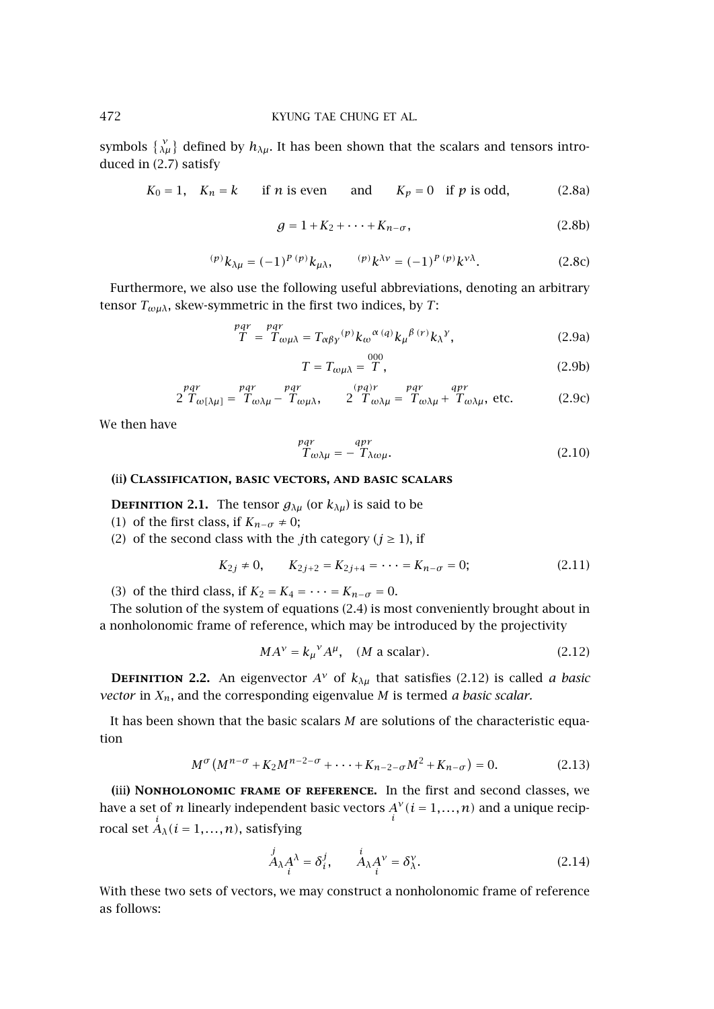symbols  $\{ \gamma_\mu \}$  defined by  $h_{\lambda\mu}$ . It has been shown that the scalars and tensors introduced in [\(2.7\)](#page-2-0) satisfy

$$
K_0 = 1
$$
,  $K_n = k$  if *n* is even and  $K_p = 0$  if *p* is odd, (2.8a)

$$
g = 1 + K_2 + \dots + K_{n-\sigma}, \tag{2.8b}
$$

$$
{}^{(p)}k_{\lambda\mu} = (-1)^{p(p)}k_{\mu\lambda}, \qquad {}^{(p)}k^{\lambda\nu} = (-1)^{p(p)}k^{\nu\lambda}.
$$
 (2.8c)

Furthermore, we also use the following useful abbreviations, denoting an arbitrary tensor  $T_{\omega\mu\lambda}$ , skew-symmetric in the first two indices, by *T*:

$$
\mathcal{T} = \mathcal{T}_{\omega\mu\lambda} = T_{\alpha\beta\gamma}{}^{(\rho)} k_{\omega}{}^{\alpha}{}^{(q)} k_{\mu}{}^{\beta}{}^{(r)} k_{\lambda}{}^{\gamma},\tag{2.9a}
$$

$$
T = T_{\omega\mu\lambda} = \stackrel{000}{T},\tag{2.9b}
$$

$$
2 \frac{pqr}{T_{\omega[\lambda\mu]}} = \frac{pqr}{T_{\omega\lambda\mu} - T_{\omega\mu\lambda}}, \qquad 2 \frac{(pq)r}{T_{\omega\lambda\mu} = T_{\omega\lambda\mu} + T_{\omega\lambda\mu}, \text{ etc.}
$$
 (2.9c)

We then have

$$
\begin{aligned}\n &p^{\,q\,r}_{\alpha\lambda\mu} = -\,^{q\,pr}_{\,\Lambda\omega\mu}.\n \end{aligned}\n \tag{2.10}
$$

## **(**ii**) Classification, basic vectors, and basic scalars**

**DEFINITION 2.1.** The tensor  $g_{\lambda\mu}$  (or  $k_{\lambda\mu}$ ) is said to be

- (1) of the first class, if  $K_{n-\sigma} \neq 0$ ;
- (2) of the second class with the *j*th category ( $j \ge 1$ ), if

$$
K_{2j} \neq 0, \qquad K_{2j+2} = K_{2j+4} = \dots = K_{n-\sigma} = 0; \tag{2.11}
$$

(3) of the third class, if  $K_2 = K_4 = \cdots = K_{n-\sigma} = 0$ .

The solution of the system of equations [\(2.4\)](#page-2-0) is most conveniently brought about in a nonholonomic frame of reference, which may be introduced by the projectivity

$$
MA^{\nu} = k_{\mu}{}^{\nu} A^{\mu}, \quad (M \text{ a scalar}). \tag{2.12}
$$

**DEFINITION 2.2.** An eigenvector  $A^{\nu}$  of  $k_{\lambda\mu}$  that satisfies (2.12) is called *a basic vector* in  $X_n$ , and the corresponding eigenvalue *M* is termed *a basic scalar*.

It has been shown that the basic scalars *M* are solutions of the characteristic equation

$$
M^{\sigma}(M^{n-\sigma} + K_2 M^{n-2-\sigma} + \dots + K_{n-2-\sigma} M^2 + K_{n-\sigma}) = 0.
$$
 (2.13)

**(**iii**) Nonholonomic frame of reference.** In the first and second classes, we have a set of *n* linearly independent basic vectors  $A^{\vee}(i=1,\ldots,n)$  and a unique reciprocal set  $\stackrel{i}{A}_{\lambda}$  ( $i = 1,...,n$ ), satisfying

$$
\stackrel{j}{A}_{\lambda} A^{\lambda} = \delta_i^j, \qquad \stackrel{i}{A}_{\lambda} A^{\nu} = \delta_{\lambda}^{\nu}.
$$
 (2.14)

With these two sets of vectors, we may construct a nonholonomic frame of reference as follows:

<span id="page-3-0"></span>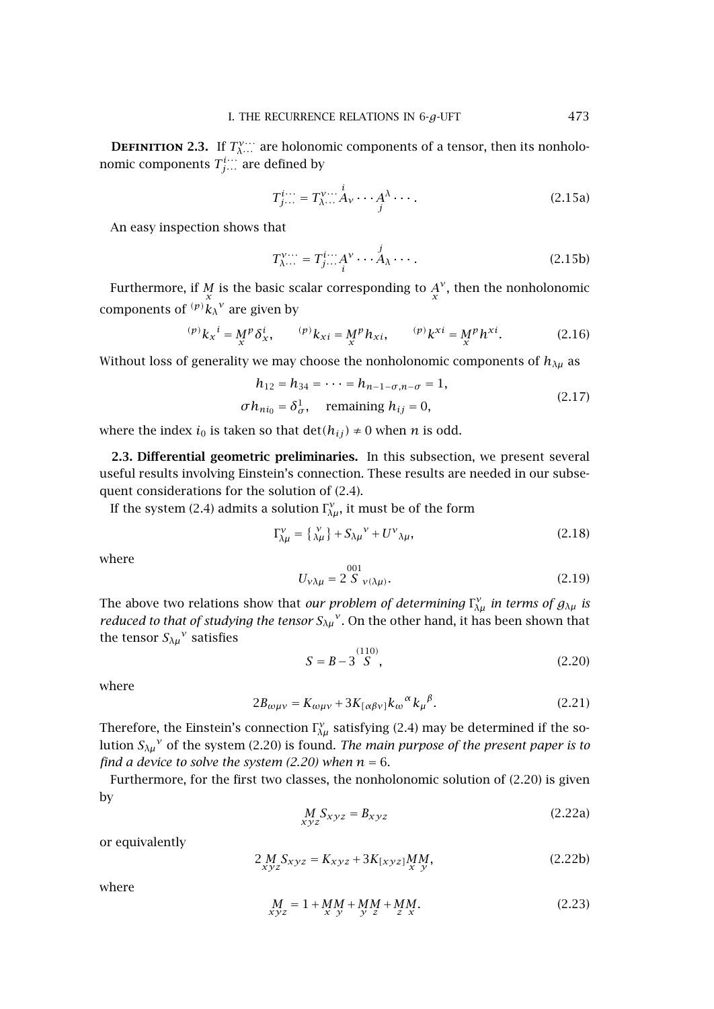<span id="page-4-0"></span>**DEFINITION 2.3.** If  $T_{\lambda}^{\nu}$  are holonomic components of a tensor, then its nonholonomic components  $T_{j\cdots}^{i\cdots}$  are defined by

$$
T_{j...}^{i...} = T_{\lambda...}^{v...} A_v \cdots A^{\lambda} \cdots.
$$
 (2.15a)

An easy inspection shows that

$$
T^{\nu\cdots}_{\lambda\cdots} = T^i_{j\cdots} A^{\nu} \cdots \overset{j}{A}_{\lambda} \cdots.
$$
 (2.15b)

Furthermore, if  $\frac{M}{x}$  is the basic scalar corresponding to  $\frac{A}{x}$ <sup>*v*</sup>, then the nonholonomic components of  $(p)$  $k_\lambda$ <sup> $v$ </sup> are given by

$$
{}^{(p)}k_{x}{}^{i} = M^{p}\delta_{x}^{i}, \qquad {}^{(p)}k_{xi} = M^{p}h_{xi}, \qquad {}^{(p)}k^{xi} = M^{p}h^{xi}. \tag{2.16}
$$

Without loss of generality we may choose the nonholonomic components of  $h_{\lambda\mu}$  as

$$
h_{12} = h_{34} = \dots = h_{n-1-\sigma, n-\sigma} = 1,
$$
  
\n
$$
\sigma h_{ni_0} = \delta_{\sigma}^1, \quad \text{remaining } h_{ij} = 0,
$$
\n(2.17)

where the index  $i_0$  is taken so that  $\det(h_{ij}) \neq 0$  when *n* is odd.

**2.3. Differential geometric preliminaries.** In this subsection, we present several useful results involving Einstein's connection. These results are needed in our subsequent considerations for the solution of [\(2.4\)](#page-2-0).

If the system [\(2.4\)](#page-2-0) admits a solution  $\Gamma_{\lambda\mu}^{\nu}$ , it must be of the form

$$
\Gamma_{\lambda\mu}^{\nu} = \left\{ \begin{array}{c} \nu \\ \lambda\mu \end{array} \right\} + S_{\lambda\mu}{}^{\nu} + U^{\nu}{}_{\lambda\mu},\tag{2.18}
$$

where

$$
U_{\nu\lambda\mu} = 2 \stackrel{001}{S}_{\nu(\lambda\mu)}.
$$
 (2.19)

The above two relations show that *our problem of determining*  $\Gamma_{\lambda\mu}^{\nu}$  *in terms of*  $g_{\lambda\mu}$  *is reduced to that of studying the tensor*  $S_{\lambda\mu}$ <sup>*ν*</sup>. On the other hand, it has been shown that the tensor  $S_{\lambda\mu}^{\nu}$  satisfies

$$
S = B - 3\overset{(110)}{S},\tag{2.20}
$$

where

$$
2B_{\omega\mu\nu} = K_{\omega\mu\nu} + 3K_{[\alpha\beta\nu]}k_{\omega}{}^{\alpha}k_{\mu}{}^{\beta}.
$$
 (2.21)

Therefore, the Einstein's connection  $\Gamma_{\lambda\mu}^{\nu}$  satisfying [\(2.4\)](#page-2-0) may be determined if the solution  $S_{\lambda\mu}^{\nu}$  of the system (2.20) is found. *The main purpose of the present paper is to find a device to solve the system (2.20) when*  $n = 6$ .

Furthermore, for the first two classes, the nonholonomic solution of (2.20) is given by

$$
\underset{xyz}{M}S_{xyz} = B_{xyz} \tag{2.22a}
$$

or equivalently

$$
2\underset{xyz}{M}S_{xyz} = K_{xyz} + 3K_{[xyz]}MM_{x}M_{y},
$$
\n(2.22b)

where

$$
M_{xyz} = 1 + MM + MM + MM \cdot M_{x \, y}.
$$
 (2.23)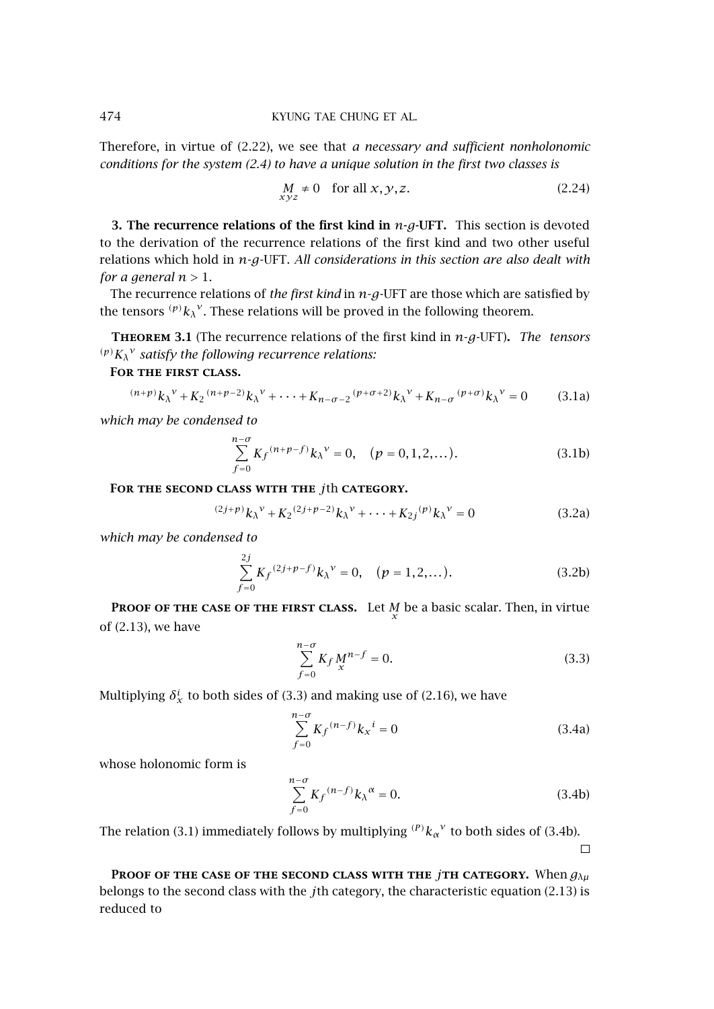<span id="page-5-0"></span>Therefore, in virtue of [\(2.22\)](#page-4-0), we see that *a necessary and sufficient nonholonomic conditions for the system [\(2.4\)](#page-2-0) to have a unique solution in the first two classes is*

$$
\underset{x y z}{M} \neq 0 \quad \text{for all } x, y, z. \tag{2.24}
$$

**3. The recurrence relations of the first kind in** *n***-***g***-UFT.** This section is devoted to the derivation of the recurrence relations of the first kind and two other useful relations which hold in *n*-*g*-UFT. *All considerations in this section are also dealt with for a general*  $n > 1$ .

The recurrence relations of *the first kind* in *n*-*g*-UFT are those which are satisfied by the tensors  $(p)$ <sub>k</sub> $\chi$ <sup>v</sup>. These relations will be proved in the following theorem.

**Theorem 3.1** (The recurrence relations of the first kind in *n*-*g*-UFT)**.** *The tensors (p)Kλ <sup>ν</sup> satisfy the following recurrence relations:*

**For the first class.**

$$
^{(n+p)}k_{\lambda}{}^{\nu} + K_2 {}^{(n+p-2)}k_{\lambda}{}^{\nu} + \dots + K_{n-\sigma-2} {}^{(p+\sigma+2)}k_{\lambda}{}^{\nu} + K_{n-\sigma} {}^{(p+\sigma)}k_{\lambda}{}^{\nu} = 0 \qquad (3.1a)
$$

*which may be condensed to*

$$
\sum_{f=0}^{n-\sigma} K_f^{(n+p-f)} k_{\lambda}^{\nu} = 0, \quad (p = 0, 1, 2, ...).
$$
 (3.1b)

**For the second class with the** *j*th **category.**

$$
^{(2j+p)}k_{\lambda}^{\ \nu} + K_2{}^{(2j+p-2)}k_{\lambda}^{\ \nu} + \cdots + K_{2j}{}^{(p)}k_{\lambda}^{\ \nu} = 0
$$
 (3.2a)

*which may be condensed to*

$$
\sum_{f=0}^{2j} K_f^{(2j+p-f)} k_{\lambda}^{\nu} = 0, \quad (p = 1, 2, ...). \tag{3.2b}
$$

**PROOF OF THE CASE OF THE FIRST CLASS.** Let *M* be a basic scalar. Then, in virtue of [\(2.13\)](#page-3-0), we have

$$
\sum_{f=0}^{n-\sigma} K_f M_{\chi}^{n-f} = 0.
$$
\n(3.3)

Multiplying  $\delta^i_x$  to both sides of (3.3) and making use of [\(2.16\)](#page-4-0), we have

$$
\sum_{f=0}^{n-\sigma} K_f {}^{(n-f)} k_x{}^i = 0
$$
\n(3.4a)

whose holonomic form is

$$
\sum_{f=0}^{n-\sigma} K_f {}^{(n-f)} k_\lambda{}^\alpha = 0.
$$
\n(3.4b)

The relation (3.1) immediately follows by multiplying  $({}^{p})k_{\alpha}{}^{\nu}$  to both sides of (3.4b).

 $\Box$ 

**Proof of the case of the second class with the** *j***th category.** When *gλµ* belongs to the second class with the *j*th category, the characteristic equation [\(2.13\)](#page-3-0) is reduced to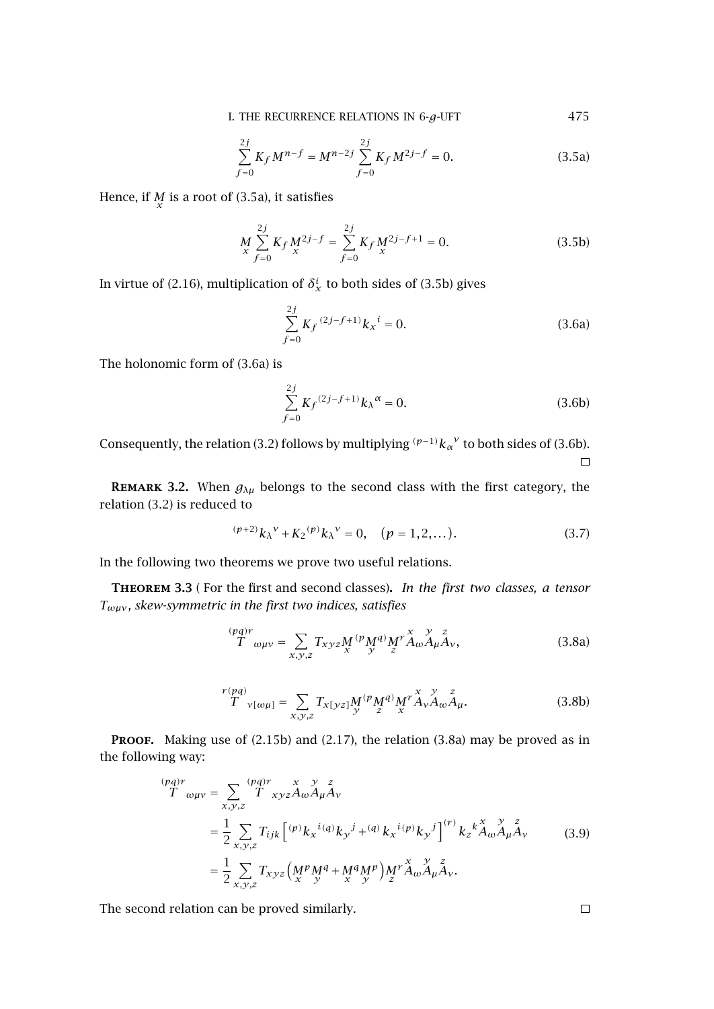I. THE RECURRENCE RELATIONS IN 6-g-UFT 475

$$
\sum_{f=0}^{2j} K_f M^{n-f} = M^{n-2j} \sum_{f=0}^{2j} K_f M^{2j-f} = 0.
$$
 (3.5a)

<span id="page-6-0"></span>Hence, if  $\frac{M}{x}$  is a root of (3.5a), it satisfies

$$
M\nx\nf=0\nf=0 K_f M\nx\n2\nf=0\nf=0 K_f M\nx\nx\nf=0\n(3.5b)
$$

In virtue of [\(2.16\)](#page-4-0), multiplication of  $\delta_x^i$  to both sides of (3.5b) gives

$$
\sum_{f=0}^{2j} K_f^{(2j-f+1)} k_x^{i} = 0.
$$
 (3.6a)

The holonomic form of (3.6a) is

$$
\sum_{f=0}^{2j} K_f^{(2j-f+1)} k_{\lambda}^{\alpha} = 0.
$$
 (3.6b)

Consequently, the relation [\(3.2\)](#page-5-0) follows by multiplying  $(p-1)k_\alpha^{\nu}$  to both sides of (3.6b).  $\Box$ 

**REMARK 3.2.** When  $g_{\lambda\mu}$  belongs to the second class with the first category, the relation [\(3.2\)](#page-5-0) is reduced to

$$
^{(p+2)}k_{\lambda}^{\nu} + K_2^{(p)}k_{\lambda}^{\nu} = 0, \quad (p = 1, 2, ...). \tag{3.7}
$$

In the following two theorems we prove two useful relations.

**Theorem 3.3** ( For the first and second classes)**.** *In the first two classes, a tensor Tωµν , skew-symmetric in the first two indices, satisfies*

$$
\int_{T}^{(pq)r} \omega_{\mu\nu} = \sum_{x,y,z} T_{xyz} M^{(p} M^{q)} M^{r} A_{\omega}^{x} A_{\mu}^{y} A_{\nu}, \tag{3.8a}
$$

$$
r(pq) \atop T_{\nu[\omega\mu]} = \sum_{x,y,z} T_{x[yz]} M^{(p} M^{q)} M^{r} A_{\nu} A_{\omega} A_{\mu}.
$$
 (3.8b)

PROOF. Making use of [\(2.15b\)](#page-4-0) and [\(2.17\)](#page-4-0), the relation (3.8a) may be proved as in the following way:

*(pq)r <sup>T</sup> ωµν* <sup>=</sup> *x,y,z (pq)r T xyz x Aω y Aµ z Aν* = 1 2 *x,y,z Tijk (p)kx i(q)ky <sup>j</sup>* <sup>+</sup>*(q) kx i(p)ky j (r ) kz k x Aω y Aµ z Aν* = 1 2 *x,y,z Txyz Mx pM y <sup>q</sup>* <sup>+</sup>*Mx qM y p Mz r x Aω y Aµ z Aν .* (3.9)

The second relation can be proved similarly.

 $\Box$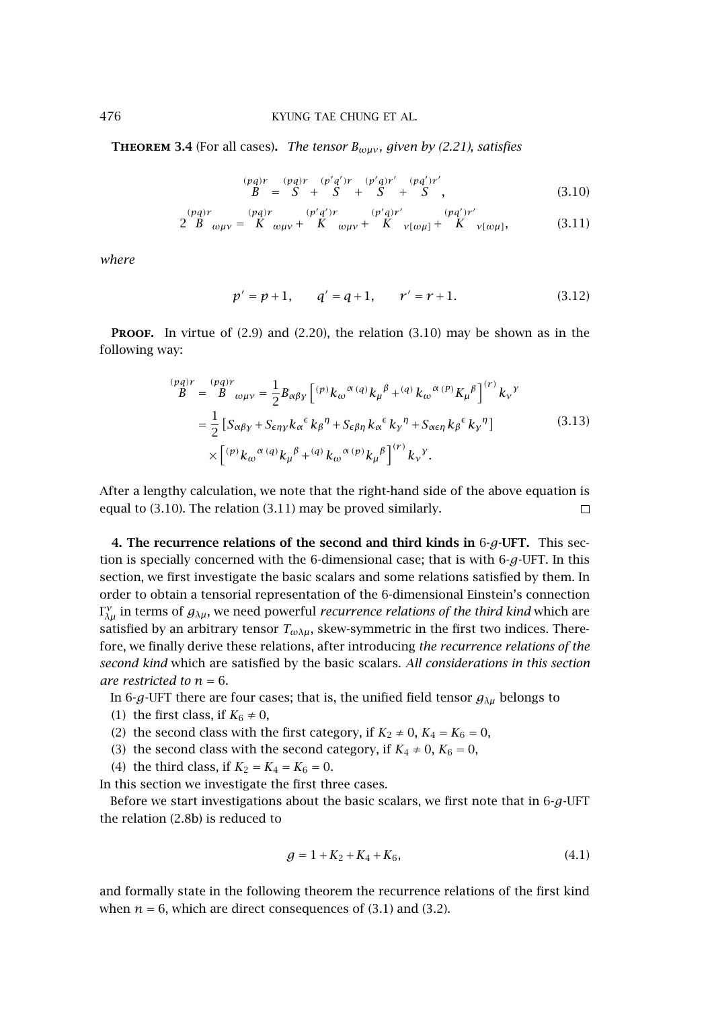**THEOREM** 3.4 (For all cases). *The tensor*  $B_{\omega\mu\nu}$ *, given by [\(2.21\)](#page-4-0), satisfies* 

$$
\begin{array}{lll}\n(pq)r & (pq)r & (p'q')r & (p'q)r' & (pq')r' \\
B & = & S + S + S + S + S'\n\end{array}
$$
\n(3.10)

$$
2\stackrel{(pq)r}{B}_{\omega\mu\nu} = \stackrel{(pq)r}{K}_{\omega\mu\nu} + \stackrel{(p'q')r}{K}_{\omega\mu\nu} + \stackrel{(p'q)r'}{K}_{\nu[\omega\mu]} + \stackrel{(pq')r'}{K}_{\nu[\omega\mu]}, \tag{3.11}
$$

*where*

$$
p' = p + 1, \qquad q' = q + 1, \qquad r' = r + 1. \tag{3.12}
$$

**PROOF.** In virtue of  $(2.9)$  and  $(2.20)$ , the relation  $(3.10)$  may be shown as in the following way:

$$
\begin{split} \n\stackrel{(pq)r}{B} &= \n\stackrel{(pq)r}{B} \omega_{\mu\nu} = \frac{1}{2} B_{\alpha\beta\gamma} \left[ \n\stackrel{(p)}{v} k_{\omega}{}^{\alpha} \, (q) k_{\mu}{}^{\beta} + \n\stackrel{(q)}{v} k_{\omega}{}^{\alpha} \, (P) K_{\mu}{}^{\beta} \right]^{(r)} k_{\nu}{}^{\gamma} \\ \n&= \frac{1}{2} \left[ S_{\alpha\beta\gamma} + S_{\epsilon\eta\gamma} k_{\alpha}{}^{\epsilon} k_{\beta}{}^{\eta} + S_{\epsilon\beta\eta} k_{\alpha}{}^{\epsilon} k_{\gamma}{}^{\eta} + S_{\alpha\epsilon\eta} k_{\beta}{}^{\epsilon} k_{\gamma}{}^{\eta} \right] \\ \n&\times \left[ \n\stackrel{(p)}{v} k_{\omega}{}^{\alpha} \, (q) k_{\mu}{}^{\beta} + \n\stackrel{(q)}{v} k_{\omega}{}^{\alpha} \, (p) k_{\mu}{}^{\beta} \right]^{(r)} k_{\nu}{}^{\gamma} . \n\end{split} \tag{3.13}
$$

After a lengthy calculation, we note that the right-hand side of the above equation is equal to (3.10). The relation (3.11) may be proved similarly.  $\Box$ 

**4. The recurrence relations of the second and third kinds in** 6**-***g***-UFT.** This section is specially concerned with the 6-dimensional case; that is with 6-*g*-UFT. In this section, we first investigate the basic scalars and some relations satisfied by them. In order to obtain a tensorial representation of the 6-dimensional Einstein's connection  $\Gamma_{\lambda\mu}^{\nu}$  in terms of  $g_{\lambda\mu}$ , we need powerful *recurrence relations of the third kind* which are satisfied by an arbitrary tensor  $T_{\omega\lambda\mu}$ , skew-symmetric in the first two indices. Therefore, we finally derive these relations, after introducing *the recurrence relations of the second kind* which are satisfied by the basic scalars. *All considerations in this section are restricted to*  $n = 6$ .

In 6-*g*-UFT there are four cases; that is, the unified field tensor *gλµ* belongs to

- (1) the first class, if  $K_6 \neq 0$ ,
- (2) the second class with the first category, if  $K_2 \neq 0$ ,  $K_4 = K_6 = 0$ ,
- (3) the second class with the second category, if  $K_4 \neq 0$ ,  $K_6 = 0$ ,
- (4) the third class, if  $K_2 = K_4 = K_6 = 0$ .

In this section we investigate the first three cases.

Before we start investigations about the basic scalars, we first note that in 6-*g*-UFT the relation [\(2.8b\)](#page-3-0) is reduced to

$$
g = 1 + K_2 + K_4 + K_6,\tag{4.1}
$$

and formally state in the following theorem the recurrence relations of the first kind when  $n = 6$ , which are direct consequences of  $(3.1)$  and  $(3.2)$ .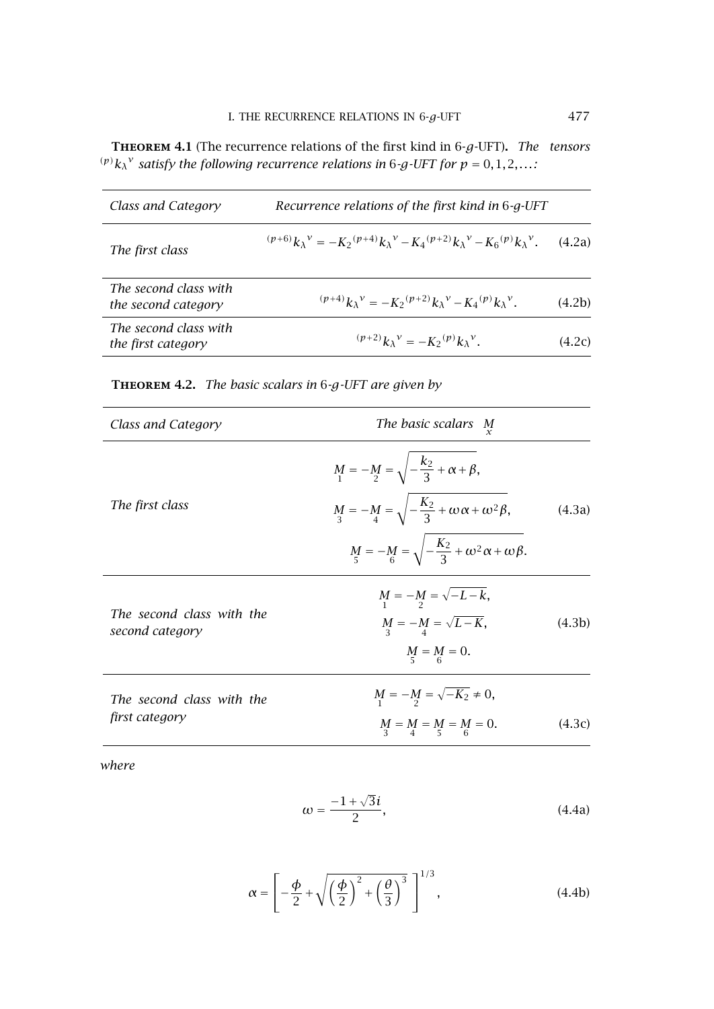<span id="page-8-0"></span>**Theorem 4.1** (The recurrence relations of the first kind in 6-*g*-UFT)**.** *The tensors (p)* $k_{\lambda}$ <sup>*v*</sup> *satisfy the following recurrence relations in 6<i>-g-UFT for*  $p = 0, 1, 2, \ldots$ *:* 

| Class and Category                           | Recurrence relations of the first kind in 6-g-UFT                                                                    |        |
|----------------------------------------------|----------------------------------------------------------------------------------------------------------------------|--------|
| The first class                              | $({p+6})k_{\lambda}^{\nu} = -K_2({p+4})k_{\lambda}^{\nu} - K_4({p+2})k_{\lambda}^{\nu} - K_6({p})k_{\lambda}^{\nu}.$ | (4.2a) |
| The second class with<br>the second category | $({p+4})_{k_{\lambda}}^{\nu} = -K_2({p+2})_{k_{\lambda}}^{\nu} - K_4({p})_{k_{\lambda}}^{\nu}.$                      | (4.2b) |
| The second class with<br>the first category  | $({p+2})k_{\lambda}{}^{\nu} = -K_2{}^{(p)}k_{\lambda}{}^{\nu}.$                                                      | (4.2c) |

# **Theorem 4.2.** *The basic scalars in* 6*-g-UFT are given by*

| Class and Category        | The basic scalars M<br>x                                               |        |
|---------------------------|------------------------------------------------------------------------|--------|
|                           | $M_1 = -M_2 = \sqrt{-\frac{k_2}{3} + \alpha + \beta},$                 |        |
| The first class           | $M_3 = -M_4 = \sqrt{-\frac{K_2}{3} + \omega \alpha + \omega^2 \beta},$ | (4.3a) |
|                           | $M_5 = -M_6 = \sqrt{-\frac{K_2}{3} + \omega^2 \alpha + \omega \beta}.$ |        |
| The second class with the | $M = -M = \sqrt{-L-k},$                                                |        |
| second category           | $M = -M = \sqrt{L-K},$<br>$M_{5} = M_{6} = 0.$                         | (4.3b) |
| The second class with the | $M = -M = \sqrt{-K_2} \neq 0,$                                         |        |
| first category            | $M = M = M = M = 0.$                                                   | (4.3c) |
|                           |                                                                        |        |

*where*

$$
\omega = \frac{-1 + \sqrt{3}i}{2},\tag{4.4a}
$$

$$
\alpha = \left[ -\frac{\phi}{2} + \sqrt{\left(\frac{\phi}{2}\right)^2 + \left(\frac{\theta}{3}\right)^3} \right]^{1/3},\tag{4.4b}
$$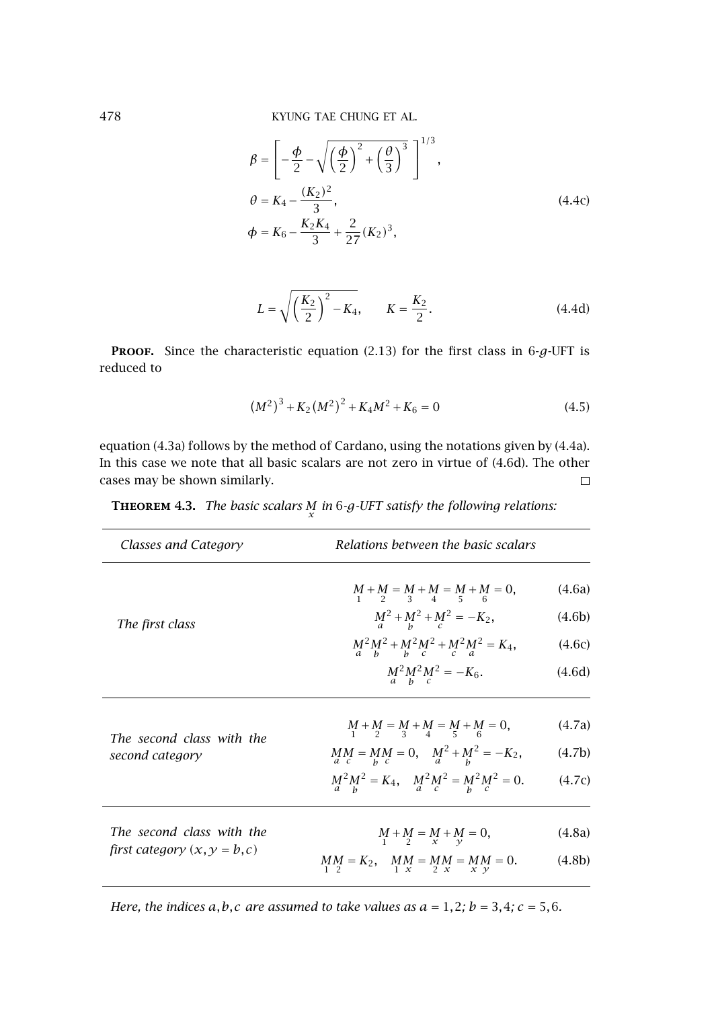<span id="page-9-0"></span>478 KYUNG TAE CHUNG ET AL.

$$
\beta = \left[ -\frac{\phi}{2} - \sqrt{\left(\frac{\phi}{2}\right)^2 + \left(\frac{\theta}{3}\right)^3} \right]^{1/3},
$$
  
\n
$$
\theta = K_4 - \frac{(K_2)^2}{3},
$$
  
\n
$$
\phi = K_6 - \frac{K_2 K_4}{3} + \frac{2}{27} (K_2)^3,
$$
\n(4.4c)

$$
L = \sqrt{\left(\frac{K_2}{2}\right)^2 - K_4}, \qquad K = \frac{K_2}{2}.
$$
 (4.4d)

**PROOF.** Since the characteristic equation [\(2.13\)](#page-3-0) for the first class in  $6-g$ -UFT is reduced to

$$
(M2)3 + K2(M2)2 + K4M2 + K6 = 0
$$
 (4.5)

equation (4.3a) follows by the method of Cardano, using the notations given by [\(4.4a\)](#page-8-0). In this case we note that all basic scalars are not zero in virtue of (4.6d). The other cases may be shown similarly.  $\Box$ 

**THEOREM 4.3.** *The basic scalars*  $M$  *in* 6*-g-UFT satisfy the following relations:* 

| Classes and Category                                        | Relations between the basic scalars          |        |
|-------------------------------------------------------------|----------------------------------------------|--------|
|                                                             | $M + M = M + M = M + M = 0,$                 | (4.6a) |
| The first class                                             | $M^2 + M^2 + M^2 = -K_2,$                    | (4.6b) |
|                                                             | $M^2 M^2 + M^2 M^2 + M^2 M^2 = K_4,$         | (4.6c) |
|                                                             | $M^2 M^2 N^2 = -K_6.$                        | (4.6d) |
| The second class with the<br>second category                | $M + M = M + M = M + M = 0,$                 | (4.7a) |
|                                                             | $MM_{a c} = MM = 0, \quad M^2 + M^2 = -K_2,$ | (4.7b) |
|                                                             | $M^2 M^2 = K_4$ , $M^2 M^2 = M^2 M^2 = 0$ .  | (4.7c) |
| The second class with the<br>first category $(x, y = b, c)$ | $M + M = M + M = 0,$                         | (4.8a) |
|                                                             | $MM = K_2$ , $MM = MM = MM = 0$ .            | (4.8b) |

*Here, the indices*  $a, b, c$  *are assumed to take values as*  $a = 1, 2$ *;*  $b = 3, 4$ *;*  $c = 5, 6$ *.*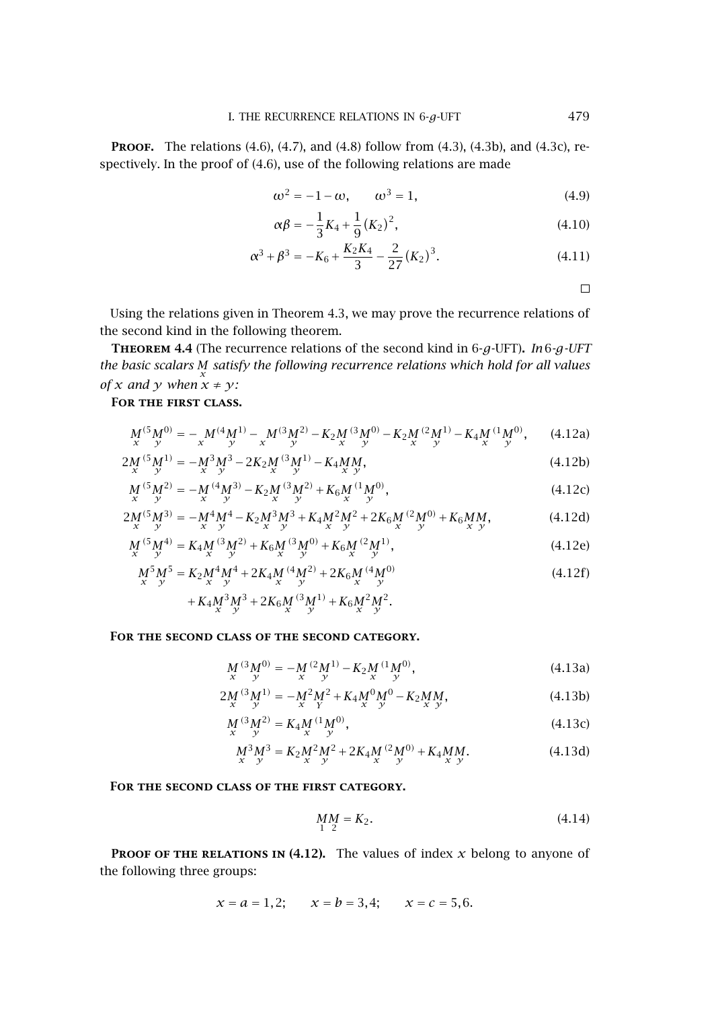<span id="page-10-0"></span>**PROOF.** The relations [\(4.6\)](#page-9-0), [\(4.7\)](#page-9-0), and [\(4.8\)](#page-9-0) follow from [\(4.3\)](#page-8-0), [\(4.3b\)](#page-8-0), and [\(4.3c\)](#page-8-0), respectively. In the proof of [\(4.6\)](#page-9-0), use of the following relations are made

$$
\omega^2 = -1 - \omega, \qquad \omega^3 = 1,\tag{4.9}
$$

$$
\alpha \beta = -\frac{1}{3} K_4 + \frac{1}{9} (K_2)^2, \tag{4.10}
$$

$$
\alpha^3 + \beta^3 = -K_6 + \frac{K_2 K_4}{3} - \frac{2}{27} (K_2)^3.
$$
 (4.11)

 $\Box$ 

Using the relations given in [Theorem 4.3,](#page-9-0) we may prove the recurrence relations of the second kind in the following theorem.

**Theorem 4.4** (The recurrence relations of the second kind in 6-*g*-UFT)**.** *In* 6*-g-UFT the basic scalars Mx satisfy the following recurrence relations which hold for all values of x* and *y* when  $\ddot{x} \neq \gamma$ :

## **For the first class.**

$$
M_{x}^{(5)}M_{y}^{(0)} = -\underset{x}{\underset{y}{M}}^{(4)}M_{y}^{(1)} - \underset{x}{\underset{y}{M}}^{(3)}M_{y}^{(2)} - K_{2}\underset{x}{\underset{y}{M}}^{(3)}M_{y}^{(0)} - K_{2}\underset{x}{\underset{y}{M}}^{(2)}M_{y}^{(1)} - K_{4}\underset{x}{\underset{y}{M}}^{(1)}M_{y}^{(0)}, \qquad (4.12a)
$$

$$
2M_{x}^{(5)}y^{(1)} = -M_{x}^{3}y^{3} - 2K_{2}M_{x}^{(3)}y^{(1)} - K_{4}MM_{x}y,
$$
\n(4.12b)

$$
M^{(5)}_{x}M^{(2)}_{y} = -M^{(4)}_{x}M^{(3)}_{y} - K_{2}M^{(3)}_{x}M^{(2)}_{y} + K_{6}M^{(1)}_{x}M^{(0)},
$$
\n(4.12c)

$$
2M^{(5)}_{x}M^{3)}_{y} = -M^{4}M^{4} - K_{2}M^{3}M^{3} + K_{4}M^{2}M^{2} + 2K_{6}M^{(2}M^{0)} + K_{6}MM_{x},
$$
\n(4.12d)

$$
M_x^{(5)}M_y^{(4)} = K_4M_x^{(3)}M_y^{(2)} + K_6M_x^{(3)}M_y^{(0)} + K_6M_x^{(2)}M_y^{(1)},
$$
(4.12e)

$$
M_{x}^{5}M_{y}^{5} = K_{2}M_{x}^{4}M_{y}^{4} + 2K_{4}M_{x}^{(4}M_{y}^{2)} + 2K_{6}M_{x}^{(4}M_{y}^{0)}
$$
\n(4.12f)

$$
+ K_4 M^3 \nx y^3 + 2 K_6 M^3 \ny y^{1)} + K_6 M^2 M^2.
$$

**For the second class of the second category.**

$$
M_x^{(3)}M_y^{(0)} = -M_x^{(2)}M_y^{(1)} - K_2M_y^{(1)}M_y^{(0)},
$$
\n(4.13a)

$$
2M_{x}^{(3}M_{y}^{(1)} = -M_{x}^{2}M_{y}^{2} + K_{4}M_{y}^{0}M_{y}^{0} - K_{2}M_{x}^{M}M_{y},
$$
\n(4.13b)

$$
M^{(3)}_{x}M^{(2)}_{y} = K_{4}M^{(1)}_{x}M^{(0)},
$$
\n(4.13c)

$$
M^3 \, M^3 = K_2 M^2 \, M^2 + 2K_4 M^2 \, M^0 + K_4 M^0 \, M^0
$$
\n(4.13d)

**For the second class of the first category.**

$$
MM = K_2. \t\t(4.14)
$$

**PROOF OF THE RELATIONS IN (4.12).** The values of index  $x$  belong to anyone of the following three groups:

$$
x = a = 1, 2;
$$
  $x = b = 3, 4;$   $x = c = 5, 6.$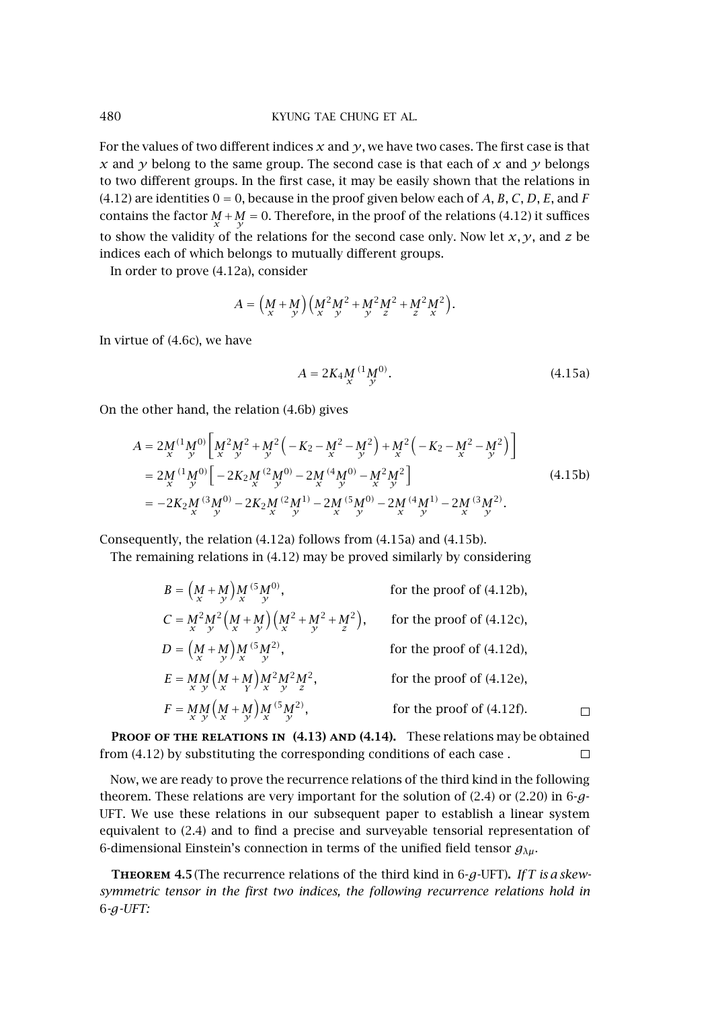## 480 KYUNG TAE CHUNG ET AL.

For the values of two different indices *x* and *y*, we have two cases. The first case is that *x* and *y* belong to the same group. The second case is that each of *x* and *y* belongs to two different groups. In the first case, it may be easily shown that the relations in  $(4.12)$  are identities  $0 = 0$ , because in the proof given below each of A, B, C, D, E, and F contains the factor  $\frac{M}{x} + \frac{M}{y} = 0$ . Therefore, in the proof of the relations [\(4.12\)](#page-10-0) it suffices to show the validity of the relations for the second case only. Now let  $x, y$ , and  $z$  be indices each of which belongs to mutually different groups.

In order to prove [\(4.12a\)](#page-10-0), consider

$$
A = \left(\frac{M}{x} + \frac{M}{y}\right)\left(\frac{M^2}{x} + \frac{M^2}{y} + \frac{M^2}{y} + \frac{M^2}{z} + \frac{M^2}{x}\right).
$$

In virtue of (4.6c), we have

$$
A = 2K_4 M^{(1} M^{(0)}_{y}.
$$
 (4.15a)

On the other hand, the relation [\(4.6b\)](#page-9-0) gives

$$
A = 2M^{(1}M^{0}) \left[ M^{2}M^{2} + M^{2} \left( -K_{2} - M^{2} - M^{2} \right) + M^{2} \left( -K_{2} - M^{2} - M^{2} \right) \right]
$$
  
\n
$$
= 2M^{(1}M^{0}) \left[ -2K_{2}M^{(2}M^{0)} - 2M^{(4}M^{0)} - M^{2}M^{2} \right]
$$
  
\n
$$
= -2K_{2}M^{(3}M^{0)} - 2K_{2}M^{(2}M^{1)} - 2M^{(5}M^{0)} - 2M^{(4}M^{1}) - 2M^{(3}M^{2}).
$$
  
\n
$$
= -2K_{2}M^{(3}M^{0)} - 2K_{2}M^{(2}M^{1)} - 2M^{(5}M^{0)} - 2M^{(4}M^{1}) - 2M^{(3}M^{2}).
$$
  
\n(4.15b)

Consequently, the relation [\(4.12a\)](#page-10-0) follows from (4.15a) and (4.15b).

The remaining relations in [\(4.12\)](#page-10-0) may be proved similarly by considering

$$
B = (M + M) M^{(5} M^{0}),
$$
 for the proof of (4.12b),  
\n
$$
C = M^{2} M^{2} (M + M) (M^{2} + M^{2} + M^{2}),
$$
 for the proof of (4.12c),  
\n
$$
D = (M + M) M^{(5} M^{2}),
$$
 for the proof of (4.12d),  
\n
$$
E = M M (M + M) M^{2} M^{2} M^{2},
$$
 for the proof of (4.12e),  
\n
$$
F = M M (M + M) M^{(5} M^{2}),
$$
 for the proof of (4.12e),  
\n
$$
F = M M (M + M) M^{(5} M^{2}),
$$
 for the proof of (4.12f).

**Proof of the relations in [\(4.13\)](#page-10-0) and [\(4.14\)](#page-10-0).** These relations may be obtained from [\(4.12\)](#page-10-0) by substituting the corresponding conditions of each case .  $\Box$ 

Now, we are ready to prove the recurrence relations of the third kind in the following theorem. These relations are very important for the solution of [\(2.4\)](#page-2-0) or [\(2.20\)](#page-4-0) in 6-*g*-UFT. We use these relations in our subsequent paper to establish a linear system equivalent to [\(2.4\)](#page-2-0) and to find a precise and surveyable tensorial representation of 6-dimensional Einstein's connection in terms of the unified field tensor *gλµ*.

**Theorem 4.5**(The recurrence relations of the third kind in 6-*g*-UFT)**.** *If T is a skewsymmetric tensor in the first two indices, the following recurrence relations hold in* 6*-g-UFT:*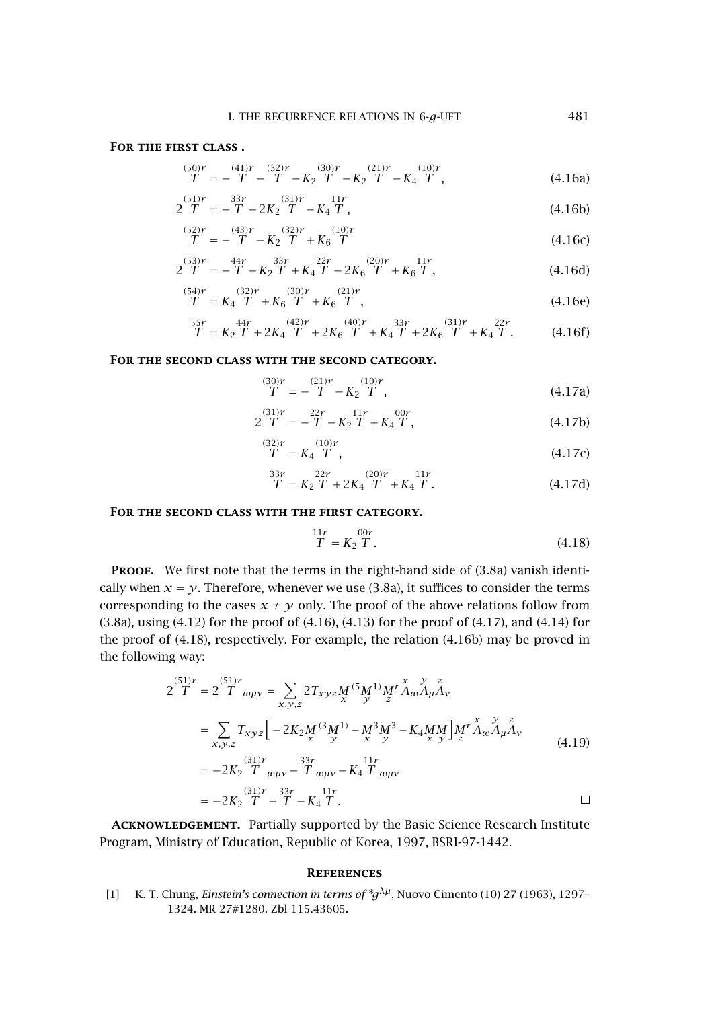## <span id="page-12-0"></span>**For the first class .**

$$
\frac{(50)r}{T} = -\frac{(41)r}{T} - \frac{(32)r}{T} - K_2 \frac{(30)r}{T} - K_2 \frac{(21)r}{T} - K_4 \frac{(10)r}{T},
$$
\n(4.16a)

$$
2\stackrel{(51)r}{T} = -\stackrel{33r}{T} - 2K_2\stackrel{(31)r}{T} - K_4\stackrel{11r}{T},\tag{4.16b}
$$

$$
\frac{(52)r}{T} = -\frac{(43)r}{T} - K_2 \frac{(32)r}{T} + K_6 \frac{(10)r}{T}
$$
\n(4.16c)

$$
2\stackrel{(53)}{T} = -\stackrel{44r}{T} - K_2\stackrel{33r}{T} + K_4\stackrel{(27)}{T} - 2K_6\stackrel{(20)r}{T} + K_6\stackrel{(11r}{T},\tag{4.16d}
$$

$$
\frac{(54)r}{T} = K_4 \frac{(32)r}{T} + K_6 \frac{(30)r}{T} + K_6 \frac{(21)r}{T},
$$
\n(4.16e)

$$
\mathop{T}\limits^{55r} = K_2 \mathop{T}\limits^{44r} + 2K_4 \mathop{T}\limits^{(42)r} + 2K_6 \mathop{T}\limits^{(40)r} + K_4 \mathop{T}\limits^{33r} + 2K_6 \mathop{T}\limits^{(31)r} + K_4 \mathop{T}\limits^{22r} . \tag{4.16f}
$$

## **For the second class with the second category.**

$$
\frac{(30)r}{T} = -\frac{(21)r}{T} - K_2 \frac{(10)r}{T},\tag{4.17a}
$$

$$
2\frac{(31)r}{T} = -\frac{22r}{T} - K_2\frac{11r}{T} + K_4\frac{00r}{T},
$$
\n(4.17b)

$$
\frac{(32)r}{T} = K_4 \frac{(10)r}{T},\tag{4.17c}
$$

$$
\frac{33r}{T} = K_2 \frac{22r}{T} + 2K_4 \frac{(20)r}{T} + K_4 \frac{11r}{T}.
$$
 (4.17d)

#### **For the second class with the first category.**

$$
\frac{11r}{T} = K_2 \frac{00r}{T}.
$$
\n(4.18)

**PROOF.** We first note that the terms in the right-hand side of [\(3.8a\)](#page-6-0) vanish identically when  $x = y$ . Therefore, whenever we use [\(3.8a\)](#page-6-0), it suffices to consider the terms corresponding to the cases  $x \neq y$  only. The proof of the above relations follow from [\(3.8a\)](#page-6-0), using [\(4.12\)](#page-10-0) for the proof of (4.16), [\(4.13\)](#page-10-0) for the proof of (4.17), and [\(4.14\)](#page-10-0) for the proof of (4.18), respectively. For example, the relation (4.16b) may be proved in the following way:

$$
2 \overline{T} = 2 \overline{T} \omega_{\mu\nu} = \sum_{x,y,z} 2T_{xyz} M^{(5} M^{1)} M^{r} A_{\omega} A_{\mu} A_{\nu}
$$
  
\n
$$
= \sum_{x,y,z} T_{xyz} \Big[ -2K_{2} M^{(3} M^{1)} - M^{3} M^{3} - K_{4} M M \Big] M^{r} A_{\omega} A_{\mu} A_{\nu}
$$
  
\n
$$
= -2K_{2} \overline{T} \omega_{\mu\nu} - T \omega_{\mu\nu} - K_{4} T \omega_{\mu\nu}
$$
  
\n
$$
= -2K_{2} \overline{T} - T - K_{4} \overline{T}.
$$

**Acknowledgement.** Partially supported by the Basic Science Research Institute Program, Ministry of Education, Republic of Korea, 1997, BSRI-97-1442.

#### **References**

[1] K. T. Chung, *Einstein's connection in terms of* <sup>∗</sup>*gλµ*, Nuovo Cimento (10) **27** (1963), 1297– 1324. [MR 27#1280.](http://www.ams.org/mathscinet-getitem?mr=27:1280) [Zbl 115.43605.](http://www.emis.de/cgi-bin/MATH-item?115.43605)